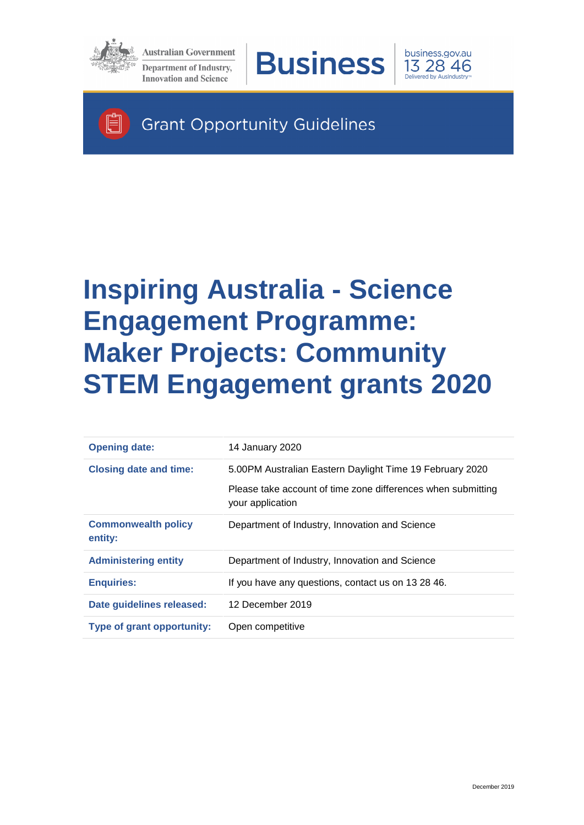

Ħ

**Australian Government Department of Industry, Innovation and Science** 





**Grant Opportunity Guidelines** 

# **Inspiring Australia - Science Engagement Programme: Maker Projects: Community STEM Engagement grants 2020**

| <b>Opening date:</b>                  | 14 January 2020                                                                  |
|---------------------------------------|----------------------------------------------------------------------------------|
| <b>Closing date and time:</b>         | 5.00PM Australian Eastern Daylight Time 19 February 2020                         |
|                                       | Please take account of time zone differences when submitting<br>your application |
| <b>Commonwealth policy</b><br>entity: | Department of Industry, Innovation and Science                                   |
| <b>Administering entity</b>           | Department of Industry, Innovation and Science                                   |
| <b>Enquiries:</b>                     | If you have any questions, contact us on 13 28 46.                               |
| Date guidelines released:             | 12 December 2019                                                                 |
| <b>Type of grant opportunity:</b>     | Open competitive                                                                 |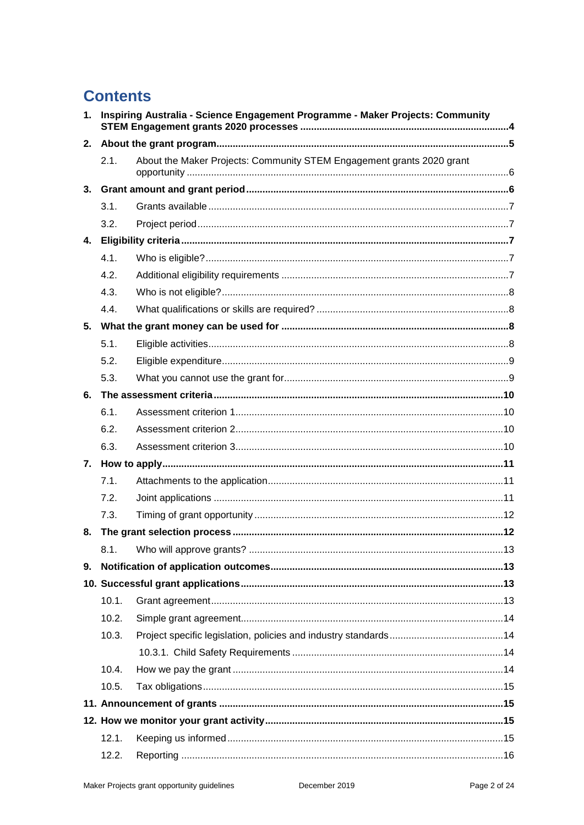# **Contents**

| 1. | Inspiring Australia - Science Engagement Programme - Maker Projects: Community |                                                                       |  |
|----|--------------------------------------------------------------------------------|-----------------------------------------------------------------------|--|
| 2. |                                                                                |                                                                       |  |
|    | 2.1.                                                                           | About the Maker Projects: Community STEM Engagement grants 2020 grant |  |
| 3. |                                                                                |                                                                       |  |
|    | 3.1.                                                                           |                                                                       |  |
|    | 3.2.                                                                           |                                                                       |  |
|    |                                                                                |                                                                       |  |
|    | 4.1.                                                                           |                                                                       |  |
|    | 4.2.                                                                           |                                                                       |  |
|    | 4.3.                                                                           |                                                                       |  |
|    | 4.4.                                                                           |                                                                       |  |
|    |                                                                                |                                                                       |  |
|    | 5.1.                                                                           |                                                                       |  |
|    | 5.2.                                                                           |                                                                       |  |
|    | 5.3.                                                                           |                                                                       |  |
| 6. |                                                                                |                                                                       |  |
|    | 6.1.                                                                           |                                                                       |  |
|    | 6.2.                                                                           |                                                                       |  |
|    | 6.3.                                                                           |                                                                       |  |
|    |                                                                                |                                                                       |  |
|    | 7.1.                                                                           |                                                                       |  |
|    | 7.2.                                                                           |                                                                       |  |
|    | 7.3.                                                                           |                                                                       |  |
| 8. |                                                                                |                                                                       |  |
|    |                                                                                |                                                                       |  |
| 9. |                                                                                |                                                                       |  |
|    |                                                                                |                                                                       |  |
|    | 10.1.                                                                          |                                                                       |  |
|    | 10.2.                                                                          |                                                                       |  |
|    | 10.3.                                                                          |                                                                       |  |
|    |                                                                                |                                                                       |  |
|    | 10.4.                                                                          |                                                                       |  |
|    | 10.5.                                                                          |                                                                       |  |
|    |                                                                                |                                                                       |  |
|    |                                                                                |                                                                       |  |
|    | 12.1.                                                                          |                                                                       |  |
|    | 12.2.                                                                          |                                                                       |  |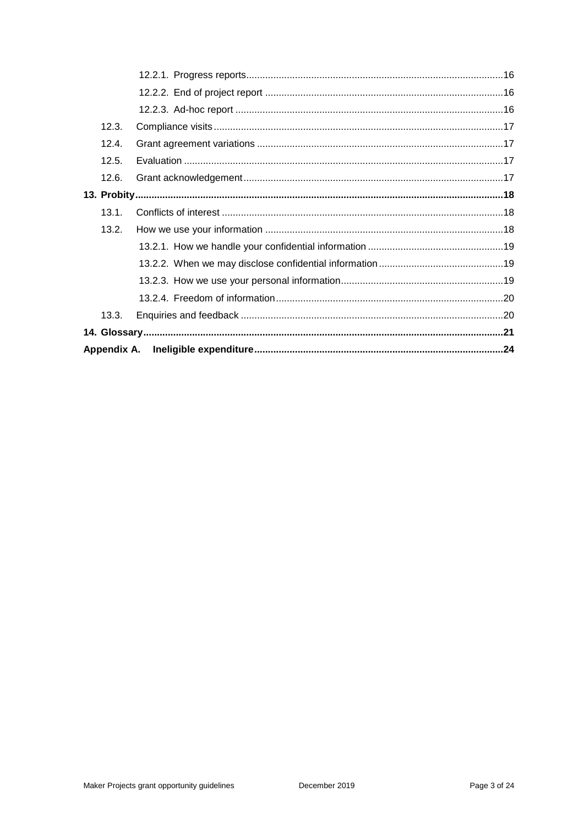| 12.3. |  |
|-------|--|
| 12.4. |  |
| 12.5. |  |
| 12.6. |  |
|       |  |
| 13.1. |  |
| 13.2. |  |
|       |  |
|       |  |
|       |  |
|       |  |
| 13.3. |  |
|       |  |
|       |  |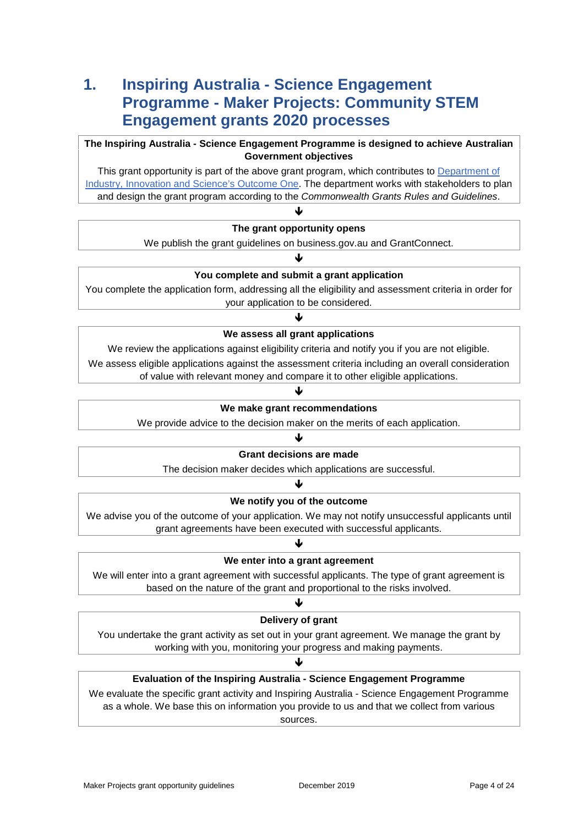## **1. Inspiring Australia - Science Engagement Programme - Maker Projects: Community STEM Engagement grants 2020 processes**

#### **The Inspiring Australia - Science Engagement Programme is designed to achieve Australian Government objectives**

This grant opportunity is part of the above grant program, which contributes to Department of [Industry, Innovation and Science's Outcome One.](https://www.industry.gov.au/sites/default/files/2019-04/2019-20-department-of-industry-innovation-and-science-pbs.pdf) The department works with stakeholders to plan and design the grant program according to the *Commonwealth Grants Rules and Guidelines*.

#### ₩ **The grant opportunity opens**

We publish the grant guidelines on business.gov.au and GrantConnect.

#### ₩ **You complete and submit a grant application**

You complete the application form, addressing all the eligibility and assessment criteria in order for your application to be considered.

#### Ψ **We assess all grant applications**

We review the applications against eligibility criteria and notify you if you are not eligible.

We assess eligible applications against the assessment criteria including an overall consideration of value with relevant money and compare it to other eligible applications.

#### Ψ

#### **We make grant recommendations**

We provide advice to the decision maker on the merits of each application.

#### J

#### **Grant decisions are made**

The decision maker decides which applications are successful.

#### ₩

#### **We notify you of the outcome**

We advise you of the outcome of your application. We may not notify unsuccessful applicants until grant agreements have been executed with successful applicants.

#### ψ

#### **We enter into a grant agreement**

We will enter into a grant agreement with successful applicants. The type of grant agreement is based on the nature of the grant and proportional to the risks involved.

#### J **Delivery of grant**

You undertake the grant activity as set out in your grant agreement. We manage the grant by working with you, monitoring your progress and making payments.

#### ብ **Evaluation of the Inspiring Australia - Science Engagement Programme**

We evaluate the specific grant activity and Inspiring Australia - Science Engagement Programme as a whole. We base this on information you provide to us and that we collect from various sources.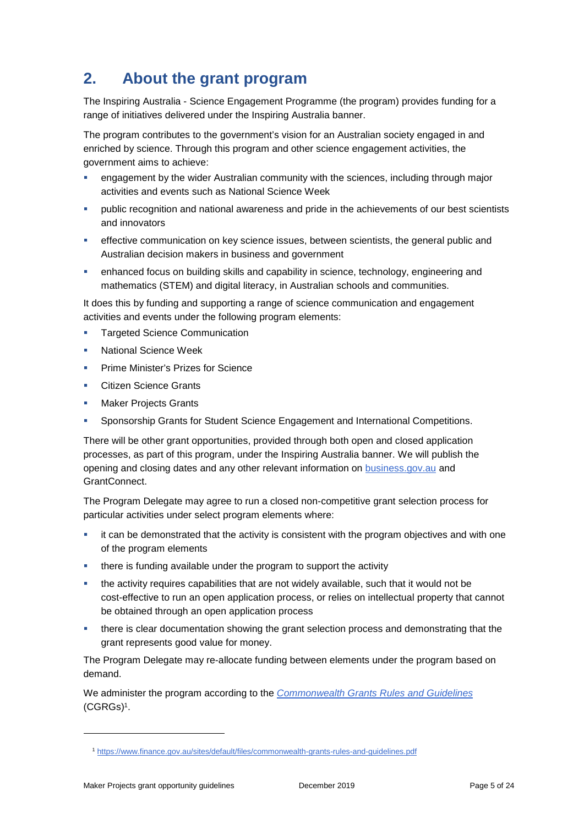# **2. About the grant program**

The Inspiring Australia - Science Engagement Programme (the program) provides funding for a range of initiatives delivered under the Inspiring Australia banner.

The program contributes to the government's vision for an Australian society engaged in and enriched by science. Through this program and other science engagement activities, the government aims to achieve:

- engagement by the wider Australian community with the sciences, including through major activities and events such as National Science Week
- public recognition and national awareness and pride in the achievements of our best scientists and innovators
- effective communication on key science issues, between scientists, the general public and Australian decision makers in business and government
- enhanced focus on building skills and capability in science, technology, engineering and mathematics (STEM) and digital literacy, in Australian schools and communities.

It does this by funding and supporting a range of science communication and engagement activities and events under the following program elements:

- Targeted Science Communication
- **National Science Week**
- Prime Minister's Prizes for Science
- Citizen Science Grants
- Maker Projects Grants
- Sponsorship Grants for Student Science Engagement and International Competitions.

There will be other grant opportunities, provided through both open and closed application processes, as part of this program, under the Inspiring Australia banner. We will publish the opening and closing dates and any other relevant information on [business.gov.au](http://www.business.gov.au/mpcse) and GrantConnect.

The Program Delegate may agree to run a closed non-competitive grant selection process for particular activities under select program elements where:

- **i** it can be demonstrated that the activity is consistent with the program objectives and with one of the program elements
- **there is funding available under the program to support the activity**
- the activity requires capabilities that are not widely available, such that it would not be cost-effective to run an open application process, or relies on intellectual property that cannot be obtained through an open application process
- there is clear documentation showing the grant selection process and demonstrating that the grant represents good value for money.

The Program Delegate may re-allocate funding between elements under the program based on demand.

We administer the program according to the *[Commonwealth Grants Rules and Guidelines](https://www.finance.gov.au/sites/default/files/commonwealth-grants-rules-and-guidelines.pdf)* [\(CGRGs\)](https://www.finance.gov.au/sites/default/files/commonwealth-grants-rules-and-guidelines.pdf)<sup>1</sup> .

-

<sup>1</sup> <https://www.finance.gov.au/sites/default/files/commonwealth-grants-rules-and-guidelines.pdf>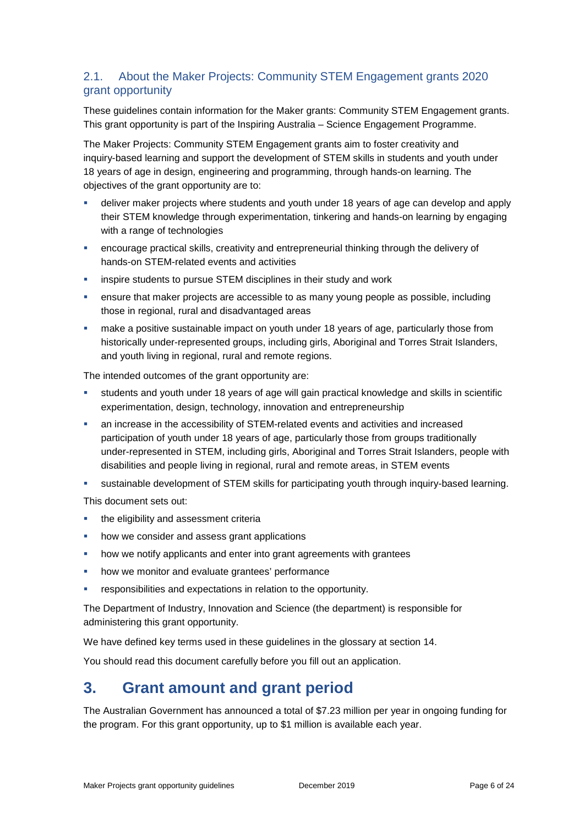#### <span id="page-5-0"></span>2.1. About the Maker Projects: Community STEM Engagement grants 2020 grant opportunity

These guidelines contain information for the Maker grants: Community STEM Engagement grants. This grant opportunity is part of the Inspiring Australia – Science Engagement Programme.

The Maker Projects: Community STEM Engagement grants aim to foster creativity and inquiry-based learning and support the development of STEM skills in students and youth under 18 years of age in design, engineering and programming, through hands-on learning. The objectives of the grant opportunity are to:

- deliver maker projects where students and youth under 18 years of age can develop and apply their STEM knowledge through experimentation, tinkering and hands-on learning by engaging with a range of technologies
- encourage practical skills, creativity and entrepreneurial thinking through the delivery of hands-on STEM-related events and activities
- inspire students to pursue STEM disciplines in their study and work
- ensure that maker projects are accessible to as many young people as possible, including those in regional, rural and disadvantaged areas
- make a positive sustainable impact on youth under 18 years of age, particularly those from historically under-represented groups, including girls, Aboriginal and Torres Strait Islanders, and youth living in regional, rural and remote regions.

The intended outcomes of the grant opportunity are:

- students and youth under 18 years of age will gain practical knowledge and skills in scientific experimentation, design, technology, innovation and entrepreneurship
- an increase in the accessibility of STEM-related events and activities and increased participation of youth under 18 years of age, particularly those from groups traditionally under-represented in STEM, including girls, Aboriginal and Torres Strait Islanders, people with disabilities and people living in regional, rural and remote areas, in STEM events
- sustainable development of STEM skills for participating youth through inquiry-based learning.

This document sets out:

- **the eligibility and assessment criterially**
- how we consider and assess grant applications
- how we notify applicants and enter into grant agreements with grantees
- how we monitor and evaluate grantees' performance
- responsibilities and expectations in relation to the opportunity.

The Department of Industry, Innovation and Science (the department) is responsible for administering this grant opportunity.

We have defined key terms used in these guidelines in the glossary at section [14.](#page-20-0)

You should read this document carefully before you fill out an application.

## **3. Grant amount and grant period**

The Australian Government has announced a total of \$7.23 million per year in ongoing funding for the program. For this grant opportunity, up to \$1 million is available each year.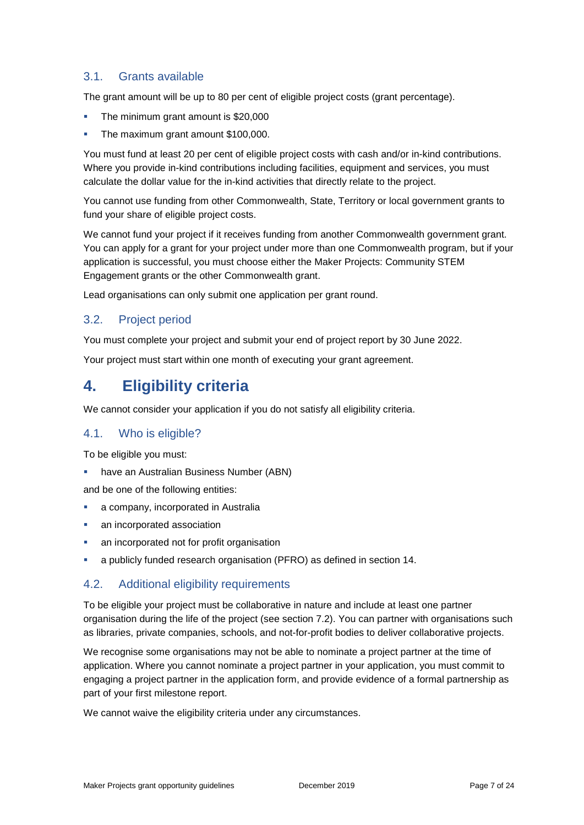#### 3.1. Grants available

The grant amount will be up to 80 per cent of eligible project costs (grant percentage).

- The minimum grant amount is \$20,000
- The maximum grant amount \$100,000.

You must fund at least 20 per cent of eligible project costs with cash and/or in-kind contributions. Where you provide in-kind contributions including facilities, equipment and services, you must calculate the dollar value for the in-kind activities that directly relate to the project.

You cannot use funding from other Commonwealth, State, Territory or local government grants to fund your share of eligible project costs.

We cannot fund your project if it receives funding from another Commonwealth government grant. You can apply for a grant for your project under more than one Commonwealth program, but if your application is successful, you must choose either the Maker Projects: Community STEM Engagement grants or the other Commonwealth grant.

Lead organisations can only submit one application per grant round.

#### 3.2. Project period

You must complete your project and submit your end of project report by 30 June 2022.

Your project must start within one month of executing your grant agreement.

### **4. Eligibility criteria**

We cannot consider your application if you do not satisfy all eligibility criteria.

#### <span id="page-6-0"></span>4.1. Who is eligible?

To be eligible you must:

**have an Australian Business Number (ABN)** 

and be one of the following entities:

- **a** company, incorporated in Australia
- **an incorporated association**
- an incorporated not for profit organisation
- a publicly funded research organisation (PFRO) as defined in section [14.](#page-20-0)

#### 4.2. Additional eligibility requirements

To be eligible your project must be collaborative in nature and include at least one partner organisation during the life of the project (see section 7.2). You can partner with organisations such as libraries, private companies, schools, and not-for-profit bodies to deliver collaborative projects.

We recognise some organisations may not be able to nominate a project partner at the time of application. Where you cannot nominate a project partner in your application, you must commit to engaging a project partner in the application form, and provide evidence of a formal partnership as part of your first milestone report.

We cannot waive the eligibility criteria under any circumstances.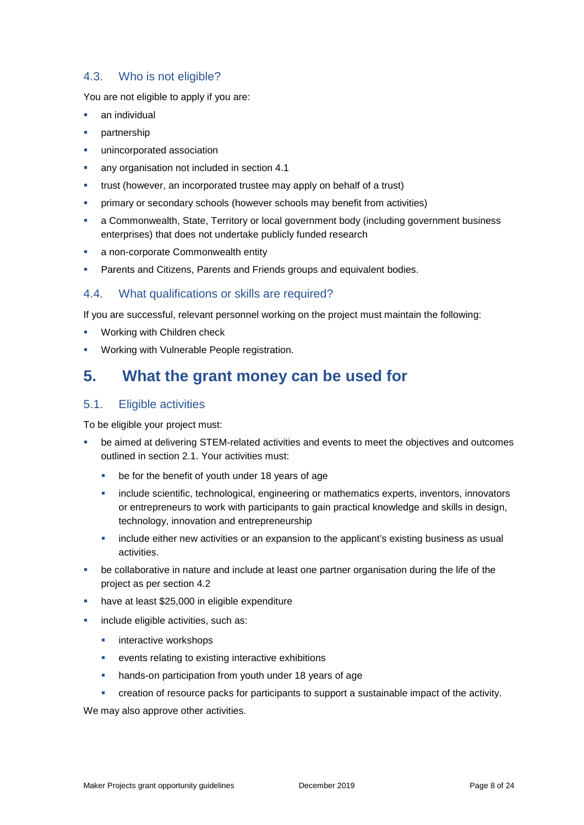#### 4.3. Who is not eligible?

You are not eligible to apply if you are:

- an individual
- partnership
- unincorporated association
- any organisation not included in section [4.1](#page-6-0)
- trust (however, an incorporated trustee may apply on behalf of a trust)
- primary or secondary schools (however schools may benefit from activities)
- a Commonwealth, State, Territory or local government body (including government business enterprises) that does not undertake publicly funded research
- **a** non-corporate Commonwealth entity
- Parents and Citizens, Parents and Friends groups and equivalent bodies.

#### 4.4. What qualifications or skills are required?

If you are successful, relevant personnel working on the project must maintain the following:

- **Working with Children check**
- Working with Vulnerable People registration.

### **5. What the grant money can be used for**

#### <span id="page-7-0"></span>5.1. Eligible activities

To be eligible your project must:

- be aimed at delivering STEM-related activities and events to meet the objectives and outcomes outlined in section [2.1.](#page-5-0) Your activities must:
	- **be for the benefit of youth under 18 years of age**
	- **EXECTE Include scientific, technological, engineering or mathematics experts, inventors, innovators** or entrepreneurs to work with participants to gain practical knowledge and skills in design, technology, innovation and entrepreneurship
	- **EXED** include either new activities or an expansion to the applicant's existing business as usual activities.
- be collaborative in nature and include at least one partner organisation during the life of the project as per section 4.2
- have at least \$25,000 in eligible expenditure
- include eligible activities, such as:
	- **EXECUTE:** interactive workshops
	- events relating to existing interactive exhibitions
	- **hands-on participation from youth under 18 years of age**
	- creation of resource packs for participants to support a sustainable impact of the activity.

We may also approve other activities.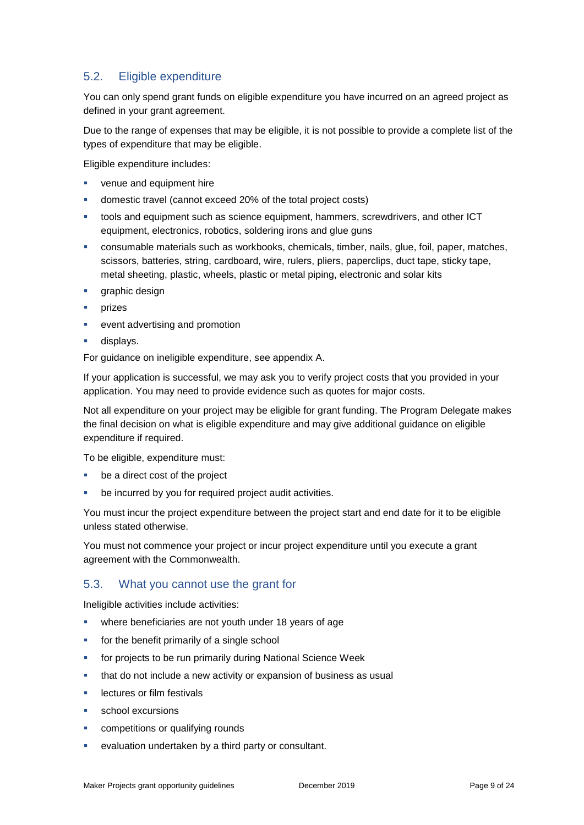#### <span id="page-8-0"></span>5.2. Eligible expenditure

You can only spend grant funds on eligible expenditure you have incurred on an agreed project as defined in your grant agreement.

Due to the range of expenses that may be eligible, it is not possible to provide a complete list of the types of expenditure that may be eligible.

Eligible expenditure includes:

- venue and equipment hire
- domestic travel (cannot exceed 20% of the total project costs)
- tools and equipment such as science equipment, hammers, screwdrivers, and other ICT equipment, electronics, robotics, soldering irons and glue guns
- consumable materials such as workbooks, chemicals, timber, nails, glue, foil, paper, matches, scissors, batteries, string, cardboard, wire, rulers, pliers, paperclips, duct tape, sticky tape, metal sheeting, plastic, wheels, plastic or metal piping, electronic and solar kits
- **graphic design**
- prizes
- event advertising and promotion
- displays.

For guidance on ineligible expenditure, see appendix A.

If your application is successful, we may ask you to verify project costs that you provided in your application. You may need to provide evidence such as quotes for major costs.

Not all expenditure on your project may be eligible for grant funding. The Program Delegate makes the final decision on what is eligible expenditure and may give additional guidance on eligible expenditure if required.

To be eligible, expenditure must:

- be a direct cost of the project
- be incurred by you for required project audit activities.

You must incur the project expenditure between the project start and end date for it to be eligible unless stated otherwise.

You must not commence your project or incur project expenditure until you execute a grant agreement with the Commonwealth.

#### 5.3. What you cannot use the grant for

Ineligible activities include activities:

- **•** where beneficiaries are not youth under 18 years of age
- **for the benefit primarily of a single school**
- for projects to be run primarily during National Science Week
- **that do not include a new activity or expansion of business as usual**
- lectures or film festivals
- school excursions
- competitions or qualifying rounds
- evaluation undertaken by a third party or consultant.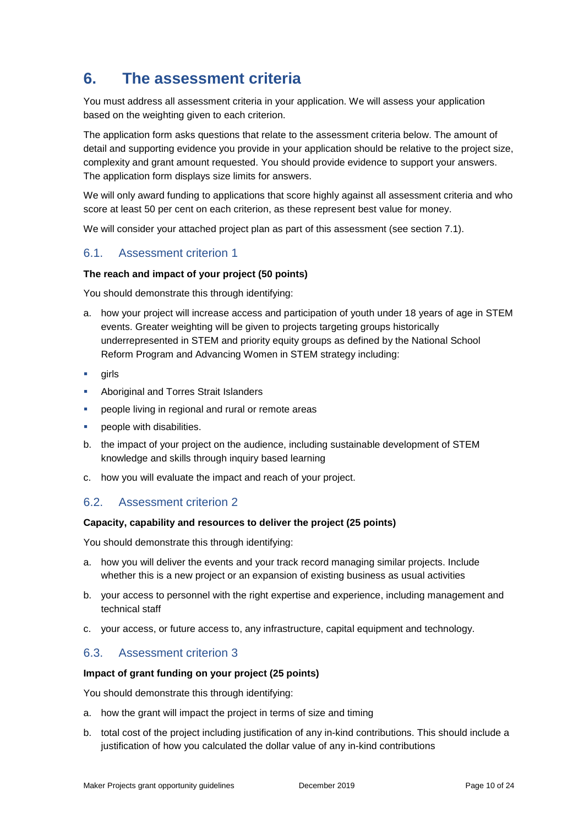# **6. The assessment criteria**

You must address all assessment criteria in your application. We will assess your application based on the weighting given to each criterion.

The application form asks questions that relate to the assessment criteria below. The amount of detail and supporting evidence you provide in your application should be relative to the project size, complexity and grant amount requested. You should provide evidence to support your answers. The application form displays size limits for answers.

We will only award funding to applications that score highly against all assessment criteria and who score at least 50 per cent on each criterion, as these represent best value for money.

We will consider your attached project plan as part of this assessment (see section 7.1).

#### 6.1. Assessment criterion 1

#### **The reach and impact of your project (50 points)**

You should demonstrate this through identifying:

- a. how your project will increase access and participation of youth under 18 years of age in STEM events. Greater weighting will be given to projects targeting groups historically underrepresented in STEM and priority equity groups as defined by the National School Reform Program and Advancing Women in STEM strategy including:
- girls
- **Aboriginal and Torres Strait Islanders**
- people living in regional and rural or remote areas
- people with disabilities.
- b. the impact of your project on the audience, including sustainable development of STEM knowledge and skills through inquiry based learning
- c. how you will evaluate the impact and reach of your project.

#### 6.2. Assessment criterion 2

#### **Capacity, capability and resources to deliver the project (25 points)**

You should demonstrate this through identifying:

- a. how you will deliver the events and your track record managing similar projects. Include whether this is a new project or an expansion of existing business as usual activities
- b. your access to personnel with the right expertise and experience, including management and technical staff
- c. your access, or future access to, any infrastructure, capital equipment and technology.

#### 6.3. Assessment criterion 3

#### **Impact of grant funding on your project (25 points)**

You should demonstrate this through identifying:

- a. how the grant will impact the project in terms of size and timing
- b. total cost of the project including justification of any in-kind contributions. This should include a justification of how you calculated the dollar value of any in-kind contributions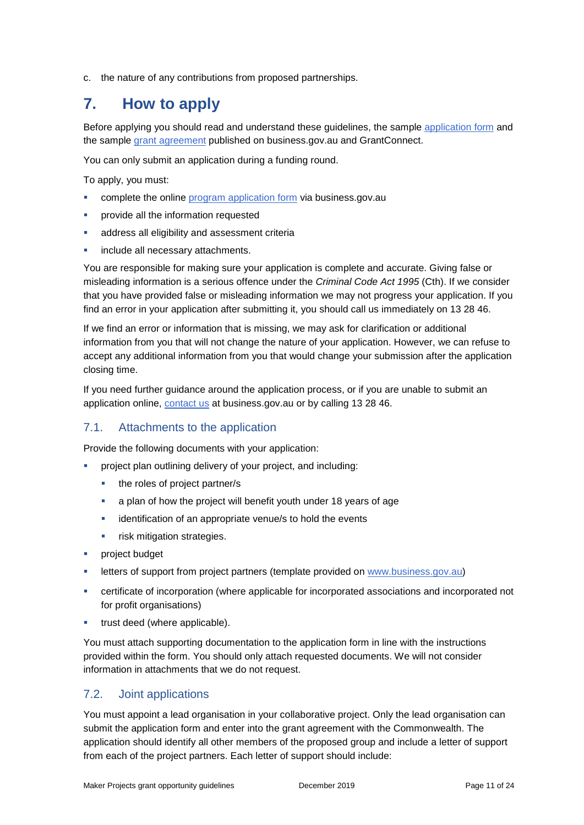c. the nature of any contributions from proposed partnerships.

### **7. How to apply**

Before applying you should read and understand these guidelines, the sample [application](http://www.business.gov.au/Grants-and-Programs/Maker-Projects-Community-STEM-Engagement-grants#key-documents) form and the sample [grant agreement](http://www.business.gov.au/Grants-and-Programs/Maker-Projects-Community-STEM-Engagement-grants#key-documents) published on business.gov.au and GrantConnect.

You can only submit an application during a funding round.

To apply, you must:

- **•** complete the online [program application form](http://www.business.gov.au/mpcse) via business.gov.au
- **•** provide all the information requested
- **address all eligibility and assessment criterially**
- **include all necessary attachments.**

You are responsible for making sure your application is complete and accurate. Giving false or misleading information is a serious offence under the *Criminal Code Act 1995* (Cth). If we consider that you have provided false or misleading information we may not progress your application. If you find an error in your application after submitting it, you should call us immediately on 13 28 46.

If we find an error or information that is missing, we may ask for clarification or additional information from you that will not change the nature of your application. However, we can refuse to accept any additional information from you that would change your submission after the application closing time.

If you need further guidance around the application process, or if you are unable to submit an application online, [contact us](https://www.business.gov.au/contact-us) at business.gov.au or by calling 13 28 46.

#### 7.1. Attachments to the application

Provide the following documents with your application:

- project plan outlining delivery of your project, and including:
	- the roles of project partner/s
	- a plan of how the project will benefit youth under 18 years of age
	- **·** identification of an appropriate venue/s to hold the events
	- **Figst** risk mitigation strategies.
- **Project budget**
- letters of support from project partners (template provided on www.business[.gov.](http://www.business.gov.au/mpcse)au)
- certificate of incorporation (where applicable for incorporated associations and incorporated not for profit organisations)
- **trust deed (where applicable).**

You must attach supporting documentation to the application form in line with the instructions provided within the form. You should only attach requested documents. We will not consider information in attachments that we do not request.

#### 7.2. Joint applications

You must appoint a lead organisation in your collaborative project. Only the lead organisation can submit the application form and enter into the grant agreement with the Commonwealth. The application should identify all other members of the proposed group and include a letter of support from each of the project partners. Each letter of support should include: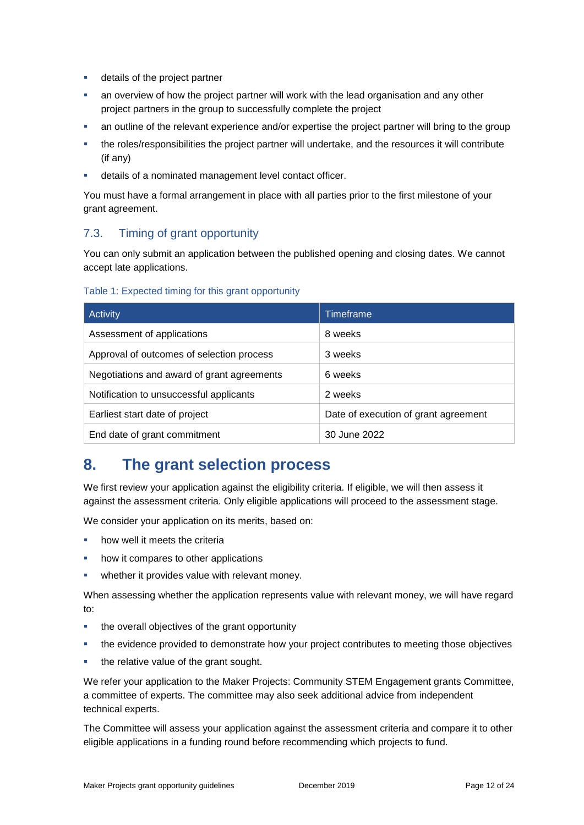- **details of the project partner**
- an overview of how the project partner will work with the lead organisation and any other project partners in the group to successfully complete the project
- an outline of the relevant experience and/or expertise the project partner will bring to the group
- the roles/responsibilities the project partner will undertake, and the resources it will contribute (if any)
- details of a nominated management level contact officer.

You must have a formal arrangement in place with all parties prior to the first milestone of your grant agreement.

#### 7.3. Timing of grant opportunity

You can only submit an application between the published opening and closing dates. We cannot accept late applications.

#### Table 1: Expected timing for this grant opportunity

| <b>Activity</b>                            | <b>Timeframe</b>                     |
|--------------------------------------------|--------------------------------------|
| Assessment of applications                 | 8 weeks                              |
| Approval of outcomes of selection process  | 3 weeks                              |
| Negotiations and award of grant agreements | 6 weeks                              |
| Notification to unsuccessful applicants    | 2 weeks                              |
| Earliest start date of project             | Date of execution of grant agreement |
| End date of grant commitment               | 30 June 2022                         |

### **8. The grant selection process**

We first review your application against the eligibility criteria. If eligible, we will then assess it against the assessment criteria. Only eligible applications will proceed to the assessment stage.

We consider your application on its merits, based on:

- **•** how well it meets the criteria
- how it compares to other applications
- **•** whether it provides value with relevant money.

When assessing whether the application represents value with relevant money, we will have regard to:

- the overall objectives of the grant opportunity
- the evidence provided to demonstrate how your project contributes to meeting those objectives
- the relative value of the grant sought.

We refer your application to the Maker Projects: Community STEM Engagement grants Committee, a committee of experts. The committee may also seek additional advice from independent technical experts.

The Committee will assess your application against the assessment criteria and compare it to other eligible applications in a funding round before recommending which projects to fund.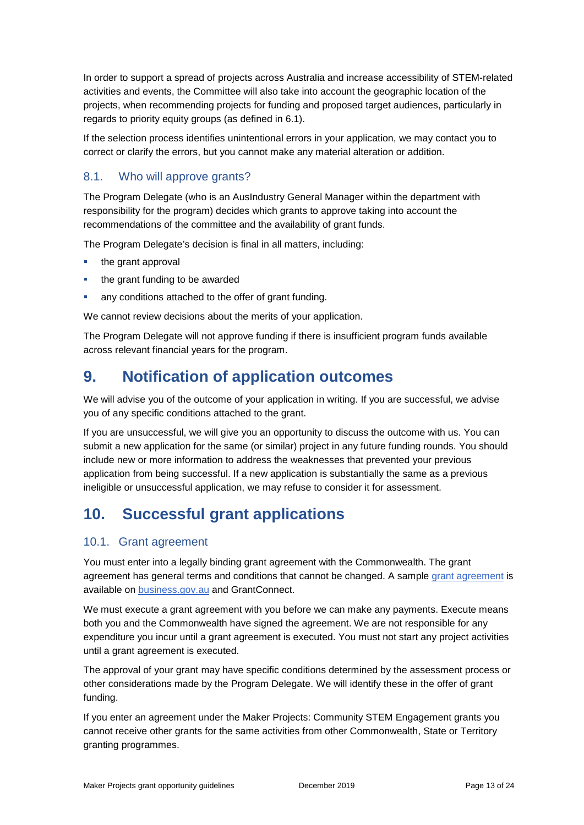In order to support a spread of projects across Australia and increase accessibility of STEM-related activities and events, the Committee will also take into account the geographic location of the projects, when recommending projects for funding and proposed target audiences, particularly in regards to priority equity groups (as defined in 6.1).

If the selection process identifies unintentional errors in your application, we may contact you to correct or clarify the errors, but you cannot make any material alteration or addition.

#### 8.1. Who will approve grants?

The Program Delegate (who is an AusIndustry General Manager within the department with responsibility for the program) decides which grants to approve taking into account the recommendations of the committee and the availability of grant funds.

The Program Delegate's decision is final in all matters, including:

- the grant approval
- the grant funding to be awarded
- any conditions attached to the offer of grant funding.

We cannot review decisions about the merits of your application.

The Program Delegate will not approve funding if there is insufficient program funds available across relevant financial years for the program.

### **9. Notification of application outcomes**

We will advise you of the outcome of your application in writing. If you are successful, we advise you of any specific conditions attached to the grant.

If you are unsuccessful, we will give you an opportunity to discuss the outcome with us. You can submit a new application for the same (or similar) project in any future funding rounds. You should include new or more information to address the weaknesses that prevented your previous application from being successful. If a new application is substantially the same as a previous ineligible or unsuccessful application, we may refuse to consider it for assessment.

### **10. Successful grant applications**

#### 10.1. Grant agreement

You must enter into a legally binding grant agreement with the Commonwealth. The grant agreement has general terms and conditions that cannot be changed. A sample [grant agreement](http://www.business.gov.au/Grants-and-Programs/Maker-Projects-Community-STEM-Engagement-grants#key-documents) is available on [business.gov.au](http://www.business.gov.au/mpcse) and GrantConnect.

We must execute a grant agreement with you before we can make any payments. Execute means both you and the Commonwealth have signed the agreement. We are not responsible for any expenditure you incur until a grant agreement is executed. You must not start any project activities until a grant agreement is executed.

The approval of your grant may have specific conditions determined by the assessment process or other considerations made by the Program Delegate. We will identify these in the offer of grant funding.

If you enter an agreement under the Maker Projects: Community STEM Engagement grants you cannot receive other grants for the same activities from other Commonwealth, State or Territory granting programmes.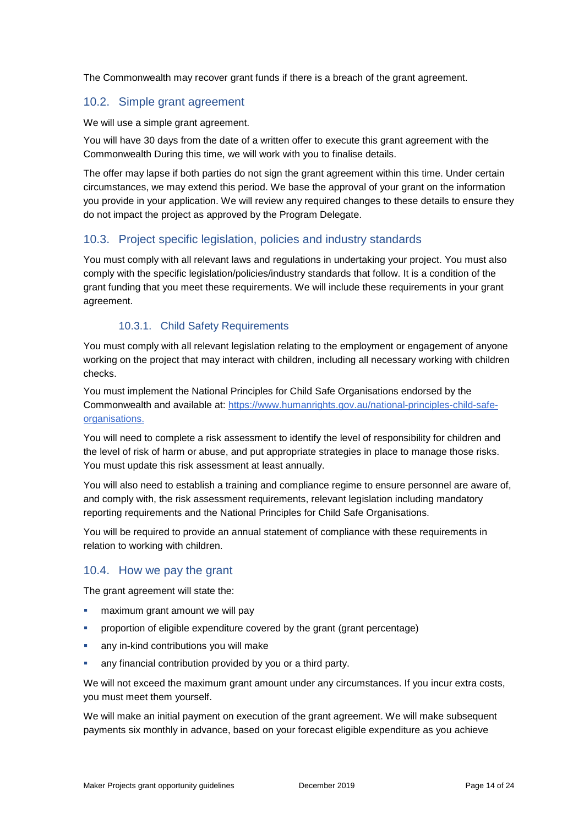The Commonwealth may recover grant funds if there is a breach of the grant agreement.

#### 10.2. Simple grant agreement

We will use a simple grant agreement.

You will have 30 days from the date of a written offer to execute this grant agreement with the Commonwealth During this time, we will work with you to finalise details.

The offer may lapse if both parties do not sign the grant agreement within this time. Under certain circumstances, we may extend this period. We base the approval of your grant on the information you provide in your application. We will review any required changes to these details to ensure they do not impact the project as approved by the Program Delegate.

#### 10.3. Project specific legislation, policies and industry standards

You must comply with all relevant laws and regulations in undertaking your project. You must also comply with the specific legislation/policies/industry standards that follow. It is a condition of the grant funding that you meet these requirements. We will include these requirements in your grant agreement.

#### 10.3.1. Child Safety Requirements

You must comply with all relevant legislation relating to the employment or engagement of anyone working on the project that may interact with children, including all necessary working with children checks.

You must implement the National Principles for Child Safe Organisations endorsed by the Commonwealth and available at: [https://www.humanrights.gov.au/national-principles-child-safe](https://www.industry.gov.au/sites/g/files/net3906/f/July%202018/document/pdf/conflict-of-interest-and-insider-trading-policy.pdf)[organisations.](https://www.industry.gov.au/sites/g/files/net3906/f/July%202018/document/pdf/conflict-of-interest-and-insider-trading-policy.pdf)

You will need to complete a risk assessment to identify the level of responsibility for children and the level of risk of harm or abuse, and put appropriate strategies in place to manage those risks. You must update this risk assessment at least annually.

You will also need to establish a training and compliance regime to ensure personnel are aware of, and comply with, the risk assessment requirements, relevant legislation including mandatory reporting requirements and the National Principles for Child Safe Organisations.

You will be required to provide an annual statement of compliance with these requirements in relation to working with children.

#### 10.4. How we pay the grant

The grant agreement will state the:

- maximum grant amount we will pay
- proportion of eligible expenditure covered by the grant (grant percentage)
- any in-kind contributions you will make
- any financial contribution provided by you or a third party.

We will not exceed the maximum grant amount under any circumstances. If you incur extra costs, you must meet them yourself.

We will make an initial payment on execution of the grant agreement. We will make subsequent payments six monthly in advance, based on your forecast eligible expenditure as you achieve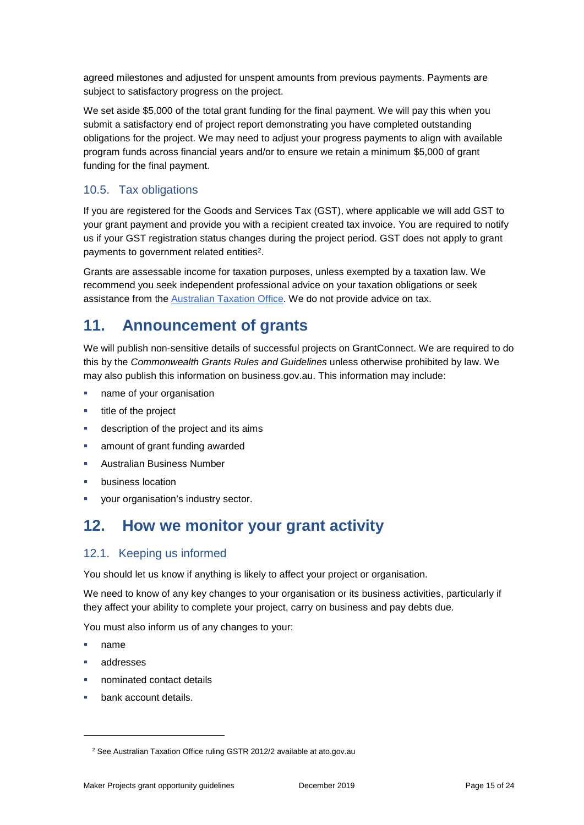agreed milestones and adjusted for unspent amounts from previous payments. Payments are subject to satisfactory progress on the project.

We set aside \$5,000 of the total grant funding for the final payment. We will pay this when you submit a satisfactory end of project report demonstrating you have completed outstanding obligations for the project. We may need to adjust your progress payments to align with available program funds across financial years and/or to ensure we retain a minimum \$5,000 of grant funding for the final payment.

#### 10.5. Tax obligations

If you are registered for the Goods and Services Tax (GST), where applicable we will add GST to your grant payment and provide you with a recipient created tax invoice. You are required to notify us if your GST registration status changes during the project period. GST does not apply to grant payments to government related entities<sup>2</sup>.

Grants are assessable income for taxation purposes, unless exempted by a taxation law. We recommend you seek independent professional advice on your taxation obligations or seek assistance from the [Australian Taxation Office.](https://www.ato.gov.au/) We do not provide advice on tax.

### **11. Announcement of grants**

We will publish non-sensitive details of successful projects on GrantConnect. We are required to do this by the *Commonwealth Grants Rules and Guidelines* unless otherwise prohibited by law. We may also publish this information on business.gov.au. This information may include:

- name of your organisation
- **title of the project**
- description of the project and its aims
- amount of grant funding awarded
- Australian Business Number
- business location
- your organisation's industry sector.

## **12. How we monitor your grant activity**

#### 12.1. Keeping us informed

You should let us know if anything is likely to affect your project or organisation.

We need to know of any key changes to your organisation or its business activities, particularly if they affect your ability to complete your project, carry on business and pay debts due.

You must also inform us of any changes to your:

name

-

- addresses
- nominated contact details
- bank account details.

<sup>&</sup>lt;sup>2</sup> See Australian Taxation Office ruling GSTR 2012/2 available at ato.gov.au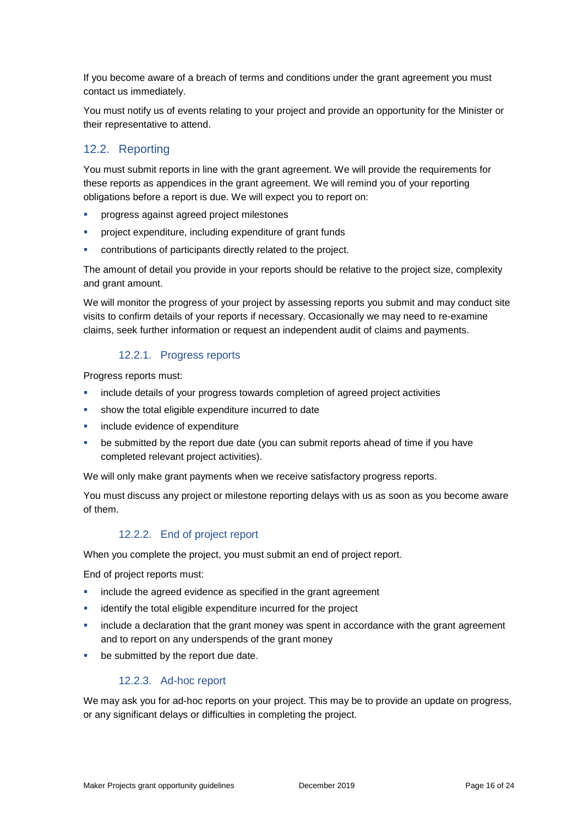If you become aware of a breach of terms and conditions under the grant agreement you must contact us immediately.

You must notify us of events relating to your project and provide an opportunity for the Minister or their representative to attend.

#### 12.2. Reporting

You must submit reports in line with the grant agreement. We will provide the requirements for these reports as appendices in the grant agreement. We will remind you of your reporting obligations before a report is due. We will expect you to report on:

- progress against agreed project milestones
- project expenditure, including expenditure of grant funds
- contributions of participants directly related to the project.

The amount of detail you provide in your reports should be relative to the project size, complexity and grant amount.

We will monitor the progress of your project by assessing reports you submit and may conduct site visits to confirm details of your reports if necessary. Occasionally we may need to re-examine claims, seek further information or request an independent audit of claims and payments.

#### 12.2.1. Progress reports

Progress reports must:

- include details of your progress towards completion of agreed project activities
- show the total eligible expenditure incurred to date
- include evidence of expenditure
- be submitted by the report due date (you can submit reports ahead of time if you have completed relevant project activities).

We will only make grant payments when we receive satisfactory progress reports.

You must discuss any project or milestone reporting delays with us as soon as you become aware of them.

#### 12.2.2. End of project report

When you complete the project, you must submit an end of project report.

End of project reports must:

- include the agreed evidence as specified in the grant agreement
- identify the total eligible expenditure incurred for the project
- include a declaration that the grant money was spent in accordance with the grant agreement and to report on any underspends of the grant money
- **•** be submitted by the report due date.

#### 12.2.3. Ad-hoc report

We may ask you for ad-hoc reports on your project. This may be to provide an update on progress, or any significant delays or difficulties in completing the project.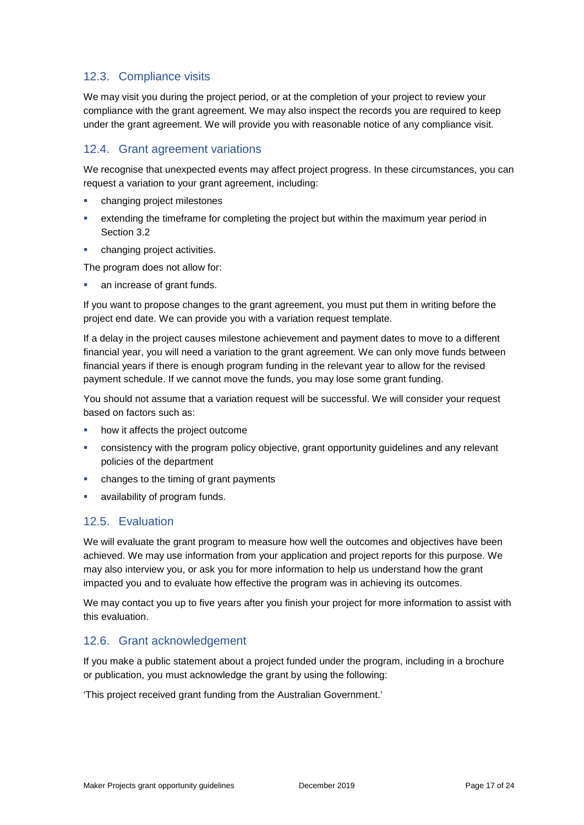#### 12.3. Compliance visits

We may visit you during the project period, or at the completion of your project to review your compliance with the grant agreement. We may also inspect the records you are required to keep under the grant agreement. We will provide you with reasonable notice of any compliance visit.

#### 12.4. Grant agreement variations

We recognise that unexpected events may affect project progress. In these circumstances, you can request a variation to your grant agreement, including:

- changing project milestones
- extending the timeframe for completing the project but within the maximum year period in Section 3.2
- changing project activities.

The program does not allow for:

**an increase of grant funds.** 

If you want to propose changes to the grant agreement, you must put them in writing before the project end date. We can provide you with a variation request template.

If a delay in the project causes milestone achievement and payment dates to move to a different financial year, you will need a variation to the grant agreement. We can only move funds between financial years if there is enough program funding in the relevant year to allow for the revised payment schedule. If we cannot move the funds, you may lose some grant funding.

You should not assume that a variation request will be successful. We will consider your request based on factors such as:

- how it affects the project outcome
- consistency with the program policy objective, grant opportunity guidelines and any relevant policies of the department
- changes to the timing of grant payments
- availability of program funds.

#### 12.5. Evaluation

We will evaluate the grant program to measure how well the outcomes and objectives have been achieved. We may use information from your application and project reports for this purpose. We may also interview you, or ask you for more information to help us understand how the grant impacted you and to evaluate how effective the program was in achieving its outcomes.

We may contact you up to five years after you finish your project for more information to assist with this evaluation.

#### 12.6. Grant acknowledgement

If you make a public statement about a project funded under the program, including in a brochure or publication, you must acknowledge the grant by using the following:

'This project received grant funding from the Australian Government.'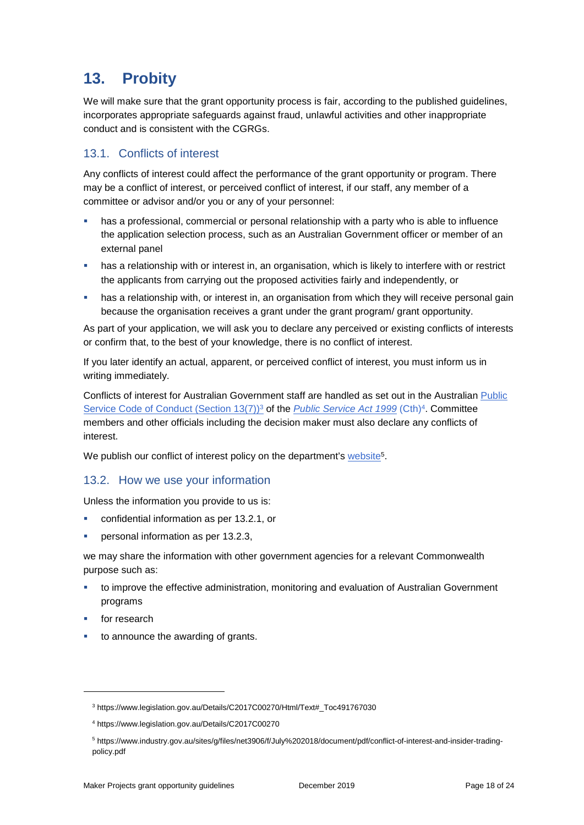# **13. Probity**

We will make sure that the grant opportunity process is fair, according to the published guidelines, incorporates appropriate safeguards against fraud, unlawful activities and other inappropriate conduct and is consistent with the CGRGs.

#### 13.1. Conflicts of interest

Any conflicts of interest could affect the performance of the grant opportunity or program. There may be a [conflict of interest,](http://www.apsc.gov.au/publications-and-media/current-publications/aps-values-and-code-of-conduct-in-practice/conflict-of-interest) or perceived conflict of interest, if our staff, any member of a committee or advisor and/or you or any of your personnel:

- **has a professional, commercial or personal relationship with a party who is able to influence** the application selection process, such as an Australian Government officer or member of an external panel
- has a relationship with or interest in, an organisation, which is likely to interfere with or restrict the applicants from carrying out the proposed activities fairly and independently, or
- **•** has a relationship with, or interest in, an organisation from which they will receive personal gain because the organisation receives a grant under the grant program/ grant opportunity.

As part of your application, we will ask you to declare any perceived or existing conflicts of interests or confirm that, to the best of your knowledge, there is no conflict of interest.

If you later identify an actual, apparent, or perceived conflict of interest, you must inform us in writing immediately.

Conflicts of interest for Australian Government staff are handled as set out in the Australian [Public](https://www.legislation.gov.au/Details/C2017C00270/Html/Text#_Toc491767030)  [Service Code of Conduct \(Section 13\(7\)\)](https://www.legislation.gov.au/Details/C2017C00270/Html/Text#_Toc491767030)<sup>3</sup> of the *[Public Service Act 1999](https://www.legislation.gov.au/Details/C2017C00270)* (Cth)<sup>4</sup>. Committee members and other officials including the decision maker must also declare any conflicts of interest.

We publish our conflict of interest policy on the department's [website](http://www.business.gov.au/)<sup>5</sup>.

#### 13.2. How we use your information

Unless the information you provide to us is:

- **•** confidential information as per [13.2.1,](#page-18-0) or
- personal information as per [13.2.3,](#page-18-1)

we may share the information with other government agencies for a relevant Commonwealth purpose such as:

- to improve the effective administration, monitoring and evaluation of Australian Government programs
- for research

-

to announce the awarding of grants.

<sup>3</sup> https://www.legislation.gov.au/Details/C2017C00270/Html/Text#\_Toc491767030

<sup>4</sup> https://www.legislation.gov.au/Details/C2017C00270

<sup>5</sup> https://www.industry.gov.au/sites/g/files/net3906/f/July%202018/document/pdf/conflict-of-interest-and-insider-tradingpolicy.pdf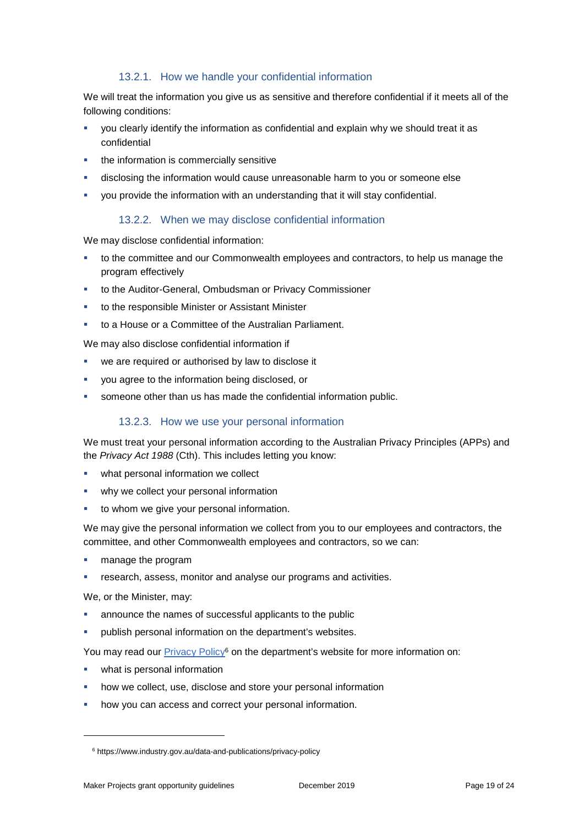#### 13.2.1. How we handle your confidential information

<span id="page-18-0"></span>We will treat the information you give us as sensitive and therefore confidential if it meets all of the following conditions:

- you clearly identify the information as confidential and explain why we should treat it as confidential
- the information is commercially sensitive
- disclosing the information would cause unreasonable harm to you or someone else
- you provide the information with an understanding that it will stay confidential.

#### 13.2.2. When we may disclose confidential information

We may disclose confidential information:

- to the committee and our Commonwealth employees and contractors, to help us manage the program effectively
- to the Auditor-General, Ombudsman or Privacy Commissioner
- to the responsible Minister or Assistant Minister
- to a House or a Committee of the Australian Parliament.

We may also disclose confidential information if

- we are required or authorised by law to disclose it
- you agree to the information being disclosed, or
- <span id="page-18-1"></span>someone other than us has made the confidential information public.

#### 13.2.3. How we use your personal information

We must treat your personal information according to the Australian Privacy Principles (APPs) and the *Privacy Act 1988* (Cth). This includes letting you know:

- what personal information we collect
- why we collect your personal information
- to whom we give your personal information.

We may give the personal information we collect from you to our employees and contractors, the committee, and other Commonwealth employees and contractors, so we can:

- manage the program
- research, assess, monitor and analyse our programs and activities.

We, or the Minister, may:

-

- announce the names of successful applicants to the public
- publish personal information on the department's websites.

You may read our **Privacy Policy<sup>6</sup>** on the department's website for more information on:

- what is personal information
- how we collect, use, disclose and store your personal information
- how you can access and correct your personal information.

<sup>6</sup> https://www.industry.gov.au/data-and-publications/privacy-policy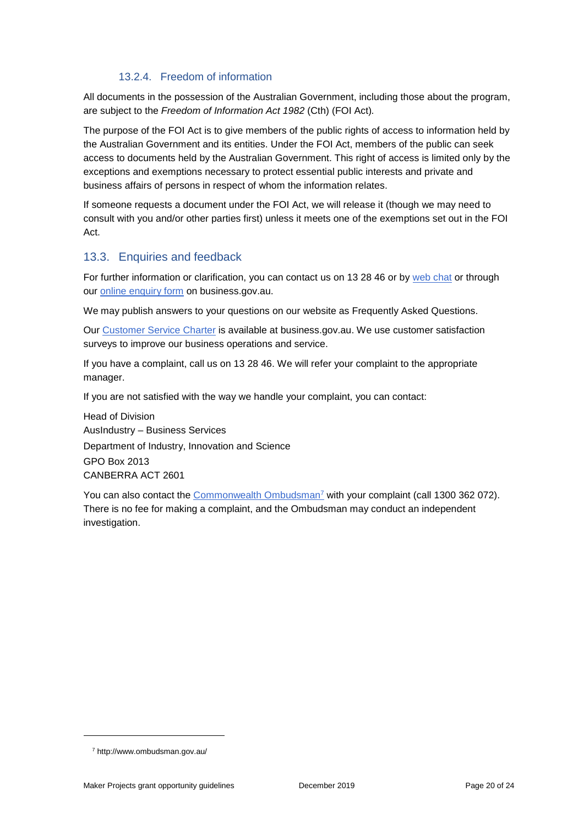#### 13.2.4. Freedom of information

All documents in the possession of the Australian Government, including those about the program, are subject to the *Freedom of Information Act 1982* (Cth) (FOI Act)*.*

The purpose of the FOI Act is to give members of the public rights of access to information held by the Australian Government and its entities. Under the FOI Act, members of the public can seek access to documents held by the Australian Government. This right of access is limited only by the exceptions and exemptions necessary to protect essential public interests and private and business affairs of persons in respect of whom the information relates.

If someone requests a document under the FOI Act, we will release it (though we may need to consult with you and/or other parties first) unless it meets one of the exemptions set out in the FOI Act.

#### 13.3. Enquiries and feedback

For further information or clarification, you can contact us on 13 28 46 or by [web chat](https://www.business.gov.au/contact-us) or through our [online enquiry form](http://www.business.gov.au/contact-us/Pages/default.aspx) on business.gov.au.

We may publish answers to your questions on our website as Frequently Asked Questions.

Our [Customer Service Charter](https://www.business.gov.au/about/customer-service-charter) is available at [business.gov.au.](http://www.business.gov.au/) We use customer satisfaction surveys to improve our business operations and service.

If you have a complaint, call us on 13 28 46. We will refer your complaint to the appropriate manager.

If you are not satisfied with the way we handle your complaint, you can contact:

Head of Division AusIndustry – Business Services Department of Industry, Innovation and Science GPO Box 2013 CANBERRA ACT 2601

You can also contact the [Commonwealth Ombudsman](http://www.ombudsman.gov.au/)<sup>7</sup> with your complaint (call 1300 362 072). There is no fee for making a complaint, and the Ombudsman may conduct an independent investigation.

-

<sup>7</sup> http://www.ombudsman.gov.au/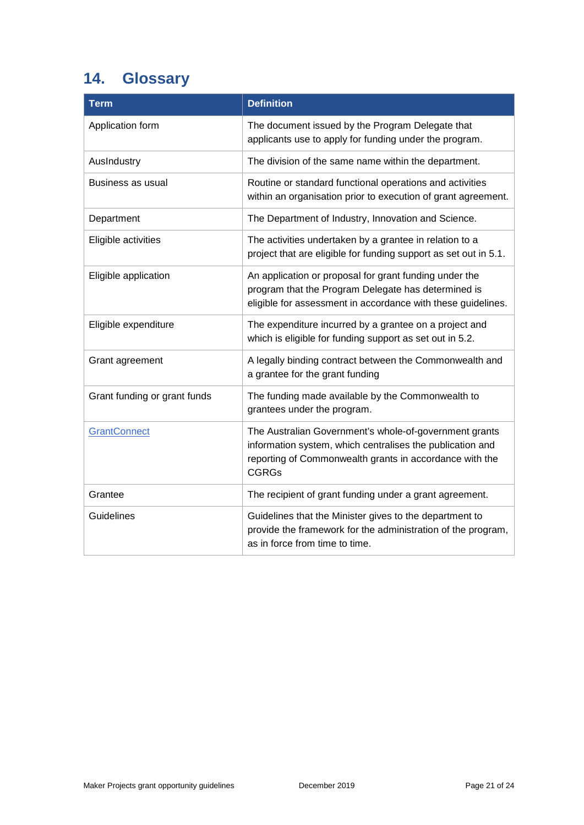# <span id="page-20-0"></span>**14. Glossary**

| <b>Term</b>                  | <b>Definition</b>                                                                                                                                                                              |
|------------------------------|------------------------------------------------------------------------------------------------------------------------------------------------------------------------------------------------|
| Application form             | The document issued by the Program Delegate that<br>applicants use to apply for funding under the program.                                                                                     |
| AusIndustry                  | The division of the same name within the department.                                                                                                                                           |
| Business as usual            | Routine or standard functional operations and activities<br>within an organisation prior to execution of grant agreement.                                                                      |
| Department                   | The Department of Industry, Innovation and Science.                                                                                                                                            |
| Eligible activities          | The activities undertaken by a grantee in relation to a<br>project that are eligible for funding support as set out in 5.1.                                                                    |
| Eligible application         | An application or proposal for grant funding under the<br>program that the Program Delegate has determined is<br>eligible for assessment in accordance with these guidelines.                  |
| Eligible expenditure         | The expenditure incurred by a grantee on a project and<br>which is eligible for funding support as set out in 5.2.                                                                             |
| Grant agreement              | A legally binding contract between the Commonwealth and<br>a grantee for the grant funding                                                                                                     |
| Grant funding or grant funds | The funding made available by the Commonwealth to<br>grantees under the program.                                                                                                               |
| <b>GrantConnect</b>          | The Australian Government's whole-of-government grants<br>information system, which centralises the publication and<br>reporting of Commonwealth grants in accordance with the<br><b>CGRGs</b> |
| Grantee                      | The recipient of grant funding under a grant agreement.                                                                                                                                        |
| <b>Guidelines</b>            | Guidelines that the Minister gives to the department to<br>provide the framework for the administration of the program,<br>as in force from time to time.                                      |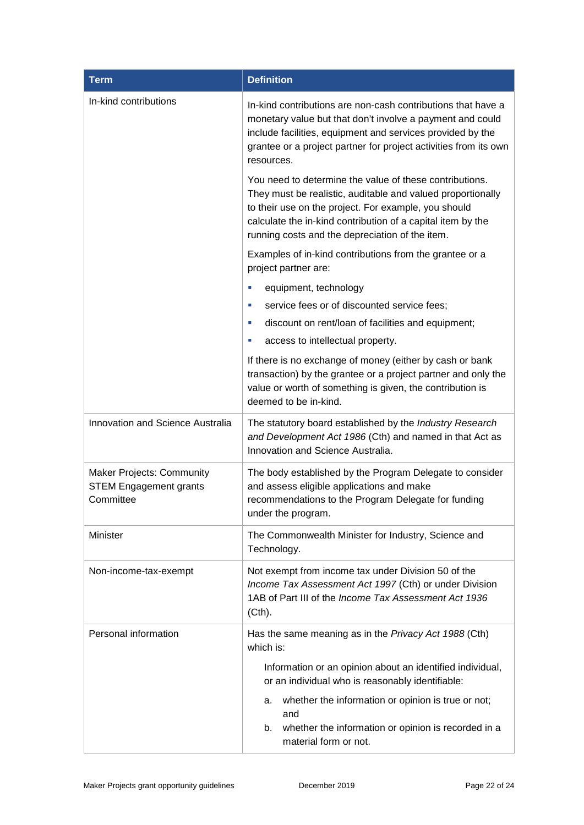| <b>Term</b>                                                                    | <b>Definition</b>                                                                                                                                                                                                                                                                                |
|--------------------------------------------------------------------------------|--------------------------------------------------------------------------------------------------------------------------------------------------------------------------------------------------------------------------------------------------------------------------------------------------|
| In-kind contributions                                                          | In-kind contributions are non-cash contributions that have a<br>monetary value but that don't involve a payment and could<br>include facilities, equipment and services provided by the<br>grantee or a project partner for project activities from its own<br>resources.                        |
|                                                                                | You need to determine the value of these contributions.<br>They must be realistic, auditable and valued proportionally<br>to their use on the project. For example, you should<br>calculate the in-kind contribution of a capital item by the<br>running costs and the depreciation of the item. |
|                                                                                | Examples of in-kind contributions from the grantee or a<br>project partner are:                                                                                                                                                                                                                  |
|                                                                                | equipment, technology<br>u,                                                                                                                                                                                                                                                                      |
|                                                                                | service fees or of discounted service fees;<br>п                                                                                                                                                                                                                                                 |
|                                                                                | discount on rent/loan of facilities and equipment;<br>u,                                                                                                                                                                                                                                         |
|                                                                                | access to intellectual property.<br>u,                                                                                                                                                                                                                                                           |
|                                                                                | If there is no exchange of money (either by cash or bank<br>transaction) by the grantee or a project partner and only the<br>value or worth of something is given, the contribution is<br>deemed to be in-kind.                                                                                  |
| Innovation and Science Australia                                               | The statutory board established by the Industry Research<br>and Development Act 1986 (Cth) and named in that Act as<br>Innovation and Science Australia.                                                                                                                                         |
| <b>Maker Projects: Community</b><br><b>STEM Engagement grants</b><br>Committee | The body established by the Program Delegate to consider<br>and assess eligible applications and make<br>recommendations to the Program Delegate for funding<br>under the program.                                                                                                               |
| Minister                                                                       | The Commonwealth Minister for Industry, Science and<br>Technology.                                                                                                                                                                                                                               |
| Non-income-tax-exempt                                                          | Not exempt from income tax under Division 50 of the<br>Income Tax Assessment Act 1997 (Cth) or under Division<br>1AB of Part III of the Income Tax Assessment Act 1936<br>(Cth).                                                                                                                 |
| Personal information                                                           | Has the same meaning as in the Privacy Act 1988 (Cth)<br>which is:                                                                                                                                                                                                                               |
|                                                                                | Information or an opinion about an identified individual,<br>or an individual who is reasonably identifiable:                                                                                                                                                                                    |
|                                                                                | whether the information or opinion is true or not;<br>а.<br>and<br>whether the information or opinion is recorded in a<br>b.<br>material form or not.                                                                                                                                            |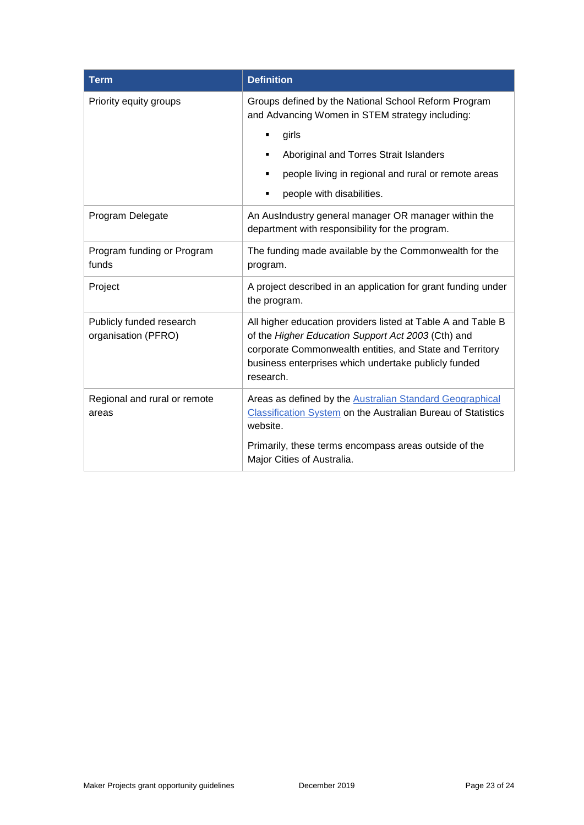| <b>Term</b>                                     | <b>Definition</b>                                                                                                                                                                                                                                   |
|-------------------------------------------------|-----------------------------------------------------------------------------------------------------------------------------------------------------------------------------------------------------------------------------------------------------|
| Priority equity groups                          | Groups defined by the National School Reform Program<br>and Advancing Women in STEM strategy including:                                                                                                                                             |
|                                                 | girls<br>٠                                                                                                                                                                                                                                          |
|                                                 | Aboriginal and Torres Strait Islanders<br>٠                                                                                                                                                                                                         |
|                                                 | people living in regional and rural or remote areas                                                                                                                                                                                                 |
|                                                 | people with disabilities.<br>٠                                                                                                                                                                                                                      |
| Program Delegate                                | An AusIndustry general manager OR manager within the<br>department with responsibility for the program.                                                                                                                                             |
| Program funding or Program<br>funds             | The funding made available by the Commonwealth for the<br>program.                                                                                                                                                                                  |
| Project                                         | A project described in an application for grant funding under<br>the program.                                                                                                                                                                       |
| Publicly funded research<br>organisation (PFRO) | All higher education providers listed at Table A and Table B<br>of the Higher Education Support Act 2003 (Cth) and<br>corporate Commonwealth entities, and State and Territory<br>business enterprises which undertake publicly funded<br>research. |
| Regional and rural or remote<br>areas           | Areas as defined by the Australian Standard Geographical<br>Classification System on the Australian Bureau of Statistics<br>website.                                                                                                                |
|                                                 | Primarily, these terms encompass areas outside of the<br>Major Cities of Australia.                                                                                                                                                                 |